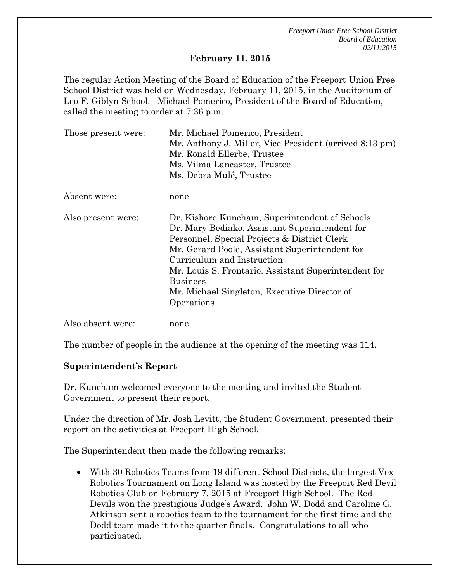#### **February 11, 2015**

The regular Action Meeting of the Board of Education of the Freeport Union Free School District was held on Wednesday, February 11, 2015, in the Auditorium of Leo F. Giblyn School. Michael Pomerico, President of the Board of Education, called the meeting to order at 7:36 p.m.

| Those present were: | Mr. Michael Pomerico, President<br>Mr. Anthony J. Miller, Vice President (arrived 8:13 pm)<br>Mr. Ronald Ellerbe, Trustee<br>Ms. Vilma Lancaster, Trustee                                                                                                                                                                                                                 |
|---------------------|---------------------------------------------------------------------------------------------------------------------------------------------------------------------------------------------------------------------------------------------------------------------------------------------------------------------------------------------------------------------------|
|                     | Ms. Debra Mulé, Trustee                                                                                                                                                                                                                                                                                                                                                   |
| Absent were:        | none                                                                                                                                                                                                                                                                                                                                                                      |
| Also present were:  | Dr. Kishore Kuncham, Superintendent of Schools<br>Dr. Mary Bediako, Assistant Superintendent for<br>Personnel, Special Projects & District Clerk<br>Mr. Gerard Poole, Assistant Superintendent for<br>Curriculum and Instruction<br>Mr. Louis S. Frontario. Assistant Superintendent for<br><b>Business</b><br>Mr. Michael Singleton, Executive Director of<br>Operations |
| Also absent were:   | none                                                                                                                                                                                                                                                                                                                                                                      |

The number of people in the audience at the opening of the meeting was 114.

#### **Superintendent's Report**

Dr. Kuncham welcomed everyone to the meeting and invited the Student Government to present their report.

Under the direction of Mr. Josh Levitt, the Student Government, presented their report on the activities at Freeport High School.

The Superintendent then made the following remarks:

 With 30 Robotics Teams from 19 different School Districts, the largest Vex Robotics Tournament on Long Island was hosted by the Freeport Red Devil Robotics Club on February 7, 2015 at Freeport High School. The Red Devils won the prestigious Judge's Award. John W. Dodd and Caroline G. Atkinson sent a robotics team to the tournament for the first time and the Dodd team made it to the quarter finals. Congratulations to all who participated.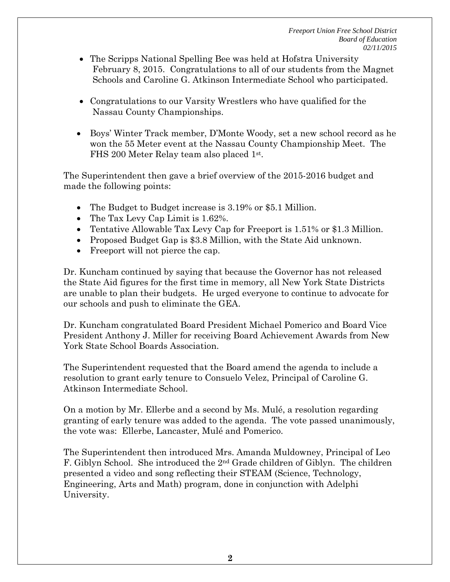- The Scripps National Spelling Bee was held at Hofstra University February 8, 2015. Congratulations to all of our students from the Magnet Schools and Caroline G. Atkinson Intermediate School who participated.
- Congratulations to our Varsity Wrestlers who have qualified for the Nassau County Championships.
- Boys' Winter Track member, D'Monte Woody, set a new school record as he won the 55 Meter event at the Nassau County Championship Meet. The FHS 200 Meter Relay team also placed 1st.

The Superintendent then gave a brief overview of the 2015-2016 budget and made the following points:

- The Budget to Budget increase is 3.19% or \$5.1 Million.
- The Tax Levy Cap Limit is 1.62%.
- Tentative Allowable Tax Levy Cap for Freeport is 1.51% or \$1.3 Million.
- Proposed Budget Gap is \$3.8 Million, with the State Aid unknown.
- Freeport will not pierce the cap.

Dr. Kuncham continued by saying that because the Governor has not released the State Aid figures for the first time in memory, all New York State Districts are unable to plan their budgets. He urged everyone to continue to advocate for our schools and push to eliminate the GEA.

Dr. Kuncham congratulated Board President Michael Pomerico and Board Vice President Anthony J. Miller for receiving Board Achievement Awards from New York State School Boards Association.

The Superintendent requested that the Board amend the agenda to include a resolution to grant early tenure to Consuelo Velez, Principal of Caroline G. Atkinson Intermediate School.

On a motion by Mr. Ellerbe and a second by Ms. Mulé, a resolution regarding granting of early tenure was added to the agenda. The vote passed unanimously, the vote was: Ellerbe, Lancaster, Mulé and Pomerico.

The Superintendent then introduced Mrs. Amanda Muldowney, Principal of Leo F. Giblyn School. She introduced the 2nd Grade children of Giblyn. The children presented a video and song reflecting their STEAM (Science, Technology, Engineering, Arts and Math) program, done in conjunction with Adelphi University.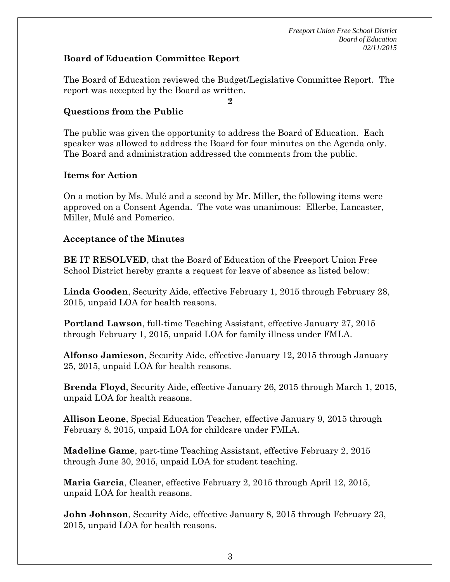### **Board of Education Committee Report**

The Board of Education reviewed the Budget/Legislative Committee Report. The report was accepted by the Board as written.

**2** 

### **Questions from the Public**

The public was given the opportunity to address the Board of Education. Each speaker was allowed to address the Board for four minutes on the Agenda only. The Board and administration addressed the comments from the public.

### **Items for Action**

On a motion by Ms. Mulé and a second by Mr. Miller, the following items were approved on a Consent Agenda. The vote was unanimous: Ellerbe, Lancaster, Miller, Mulé and Pomerico.

### **Acceptance of the Minutes**

**BE IT RESOLVED**, that the Board of Education of the Freeport Union Free School District hereby grants a request for leave of absence as listed below:

**Linda Gooden**, Security Aide, effective February 1, 2015 through February 28, 2015, unpaid LOA for health reasons.

**Portland Lawson**, full-time Teaching Assistant, effective January 27, 2015 through February 1, 2015, unpaid LOA for family illness under FMLA.

**Alfonso Jamieson**, Security Aide, effective January 12, 2015 through January 25, 2015, unpaid LOA for health reasons.

**Brenda Floyd**, Security Aide, effective January 26, 2015 through March 1, 2015, unpaid LOA for health reasons.

**Allison Leone**, Special Education Teacher, effective January 9, 2015 through February 8, 2015, unpaid LOA for childcare under FMLA.

**Madeline Game**, part-time Teaching Assistant, effective February 2, 2015 through June 30, 2015, unpaid LOA for student teaching.

**Maria Garcia**, Cleaner, effective February 2, 2015 through April 12, 2015, unpaid LOA for health reasons.

**John Johnson**, Security Aide, effective January 8, 2015 through February 23, 2015, unpaid LOA for health reasons.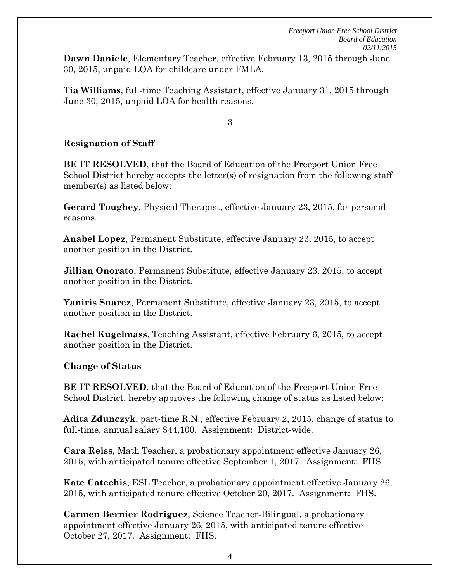**Dawn Daniele**, Elementary Teacher, effective February 13, 2015 through June 30, 2015, unpaid LOA for childcare under FMLA.

**Tia Williams**, full-time Teaching Assistant, effective January 31, 2015 through June 30, 2015, unpaid LOA for health reasons.

3

# **Resignation of Staff**

**BE IT RESOLVED**, that the Board of Education of the Freeport Union Free School District hereby accepts the letter(s) of resignation from the following staff member(s) as listed below:

**Gerard Toughey**, Physical Therapist, effective January 23, 2015, for personal reasons.

**Anabel Lopez**, Permanent Substitute, effective January 23, 2015, to accept another position in the District.

**Jillian Onorato**, Permanent Substitute, effective January 23, 2015, to accept another position in the District.

**Yaniris Suarez**, Permanent Substitute, effective January 23, 2015, to accept another position in the District.

**Rachel Kugelmass**, Teaching Assistant, effective February 6, 2015, to accept another position in the District.

**Change of Status** 

**BE IT RESOLVED**, that the Board of Education of the Freeport Union Free School District, hereby approves the following change of status as listed below:

**Adita Zdunczyk**, part-time R.N., effective February 2, 2015, change of status to full-time, annual salary \$44,100. Assignment: District-wide.

**Cara Reiss**, Math Teacher, a probationary appointment effective January 26, 2015, with anticipated tenure effective September 1, 2017. Assignment: FHS.

**Kate Catechis**, ESL Teacher, a probationary appointment effective January 26, 2015, with anticipated tenure effective October 20, 2017. Assignment: FHS.

**Carmen Bernier Rodriguez**, Science Teacher-Bilingual, a probationary appointment effective January 26, 2015, with anticipated tenure effective October 27, 2017. Assignment: FHS.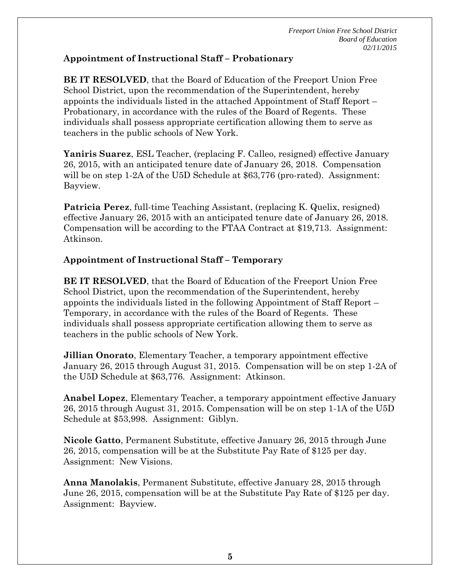# **Appointment of Instructional Staff – Probationary**

**BE IT RESOLVED**, that the Board of Education of the Freeport Union Free School District, upon the recommendation of the Superintendent, hereby appoints the individuals listed in the attached Appointment of Staff Report – Probationary, in accordance with the rules of the Board of Regents. These individuals shall possess appropriate certification allowing them to serve as teachers in the public schools of New York.

**Yaniris Suarez**, ESL Teacher, (replacing F. Calleo, resigned) effective January 26, 2015, with an anticipated tenure date of January 26, 2018. Compensation will be on step 1-2A of the U5D Schedule at \$63,776 (pro-rated). Assignment: Bayview.

**Patricia Perez**, full-time Teaching Assistant, (replacing K. Quelix, resigned) effective January 26, 2015 with an anticipated tenure date of January 26, 2018. Compensation will be according to the FTAA Contract at \$19,713. Assignment: Atkinson.

# **Appointment of Instructional Staff – Temporary**

**BE IT RESOLVED**, that the Board of Education of the Freeport Union Free School District, upon the recommendation of the Superintendent, hereby appoints the individuals listed in the following Appointment of Staff Report – Temporary, in accordance with the rules of the Board of Regents. These individuals shall possess appropriate certification allowing them to serve as teachers in the public schools of New York.

**Jillian Onorato**, Elementary Teacher, a temporary appointment effective January 26, 2015 through August 31, 2015. Compensation will be on step 1-2A of the U5D Schedule at \$63,776. Assignment: Atkinson.

**Anabel Lopez**, Elementary Teacher, a temporary appointment effective January 26, 2015 through August 31, 2015. Compensation will be on step 1-1A of the U5D Schedule at \$53,998. Assignment: Giblyn.

**Nicole Gatto**, Permanent Substitute, effective January 26, 2015 through June 26, 2015, compensation will be at the Substitute Pay Rate of \$125 per day. Assignment: New Visions.

**Anna Manolakis**, Permanent Substitute, effective January 28, 2015 through June 26, 2015, compensation will be at the Substitute Pay Rate of \$125 per day. Assignment: Bayview.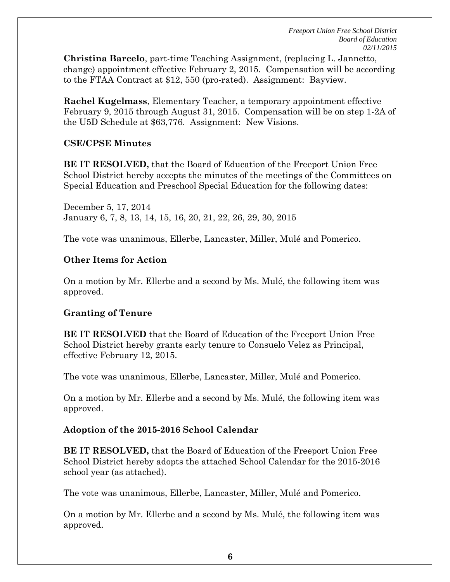**Christina Barcelo**, part-time Teaching Assignment, (replacing L. Jannetto, change) appointment effective February 2, 2015. Compensation will be according to the FTAA Contract at \$12, 550 (pro-rated). Assignment: Bayview.

**Rachel Kugelmass**, Elementary Teacher, a temporary appointment effective February 9, 2015 through August 31, 2015. Compensation will be on step 1-2A of the U5D Schedule at \$63,776. Assignment: New Visions.

### **CSE/CPSE Minutes**

**BE IT RESOLVED,** that the Board of Education of the Freeport Union Free School District hereby accepts the minutes of the meetings of the Committees on Special Education and Preschool Special Education for the following dates:

December 5, 17, 2014 January 6, 7, 8, 13, 14, 15, 16, 20, 21, 22, 26, 29, 30, 2015

The vote was unanimous, Ellerbe, Lancaster, Miller, Mulé and Pomerico.

# **Other Items for Action**

On a motion by Mr. Ellerbe and a second by Ms. Mulé, the following item was approved.

# **Granting of Tenure**

**BE IT RESOLVED** that the Board of Education of the Freeport Union Free School District hereby grants early tenure to Consuelo Velez as Principal, effective February 12, 2015.

The vote was unanimous, Ellerbe, Lancaster, Miller, Mulé and Pomerico.

On a motion by Mr. Ellerbe and a second by Ms. Mulé, the following item was approved.

# **Adoption of the 2015-2016 School Calendar**

**BE IT RESOLVED,** that the Board of Education of the Freeport Union Free School District hereby adopts the attached School Calendar for the 2015-2016 school year (as attached).

The vote was unanimous, Ellerbe, Lancaster, Miller, Mulé and Pomerico.

On a motion by Mr. Ellerbe and a second by Ms. Mulé, the following item was approved.